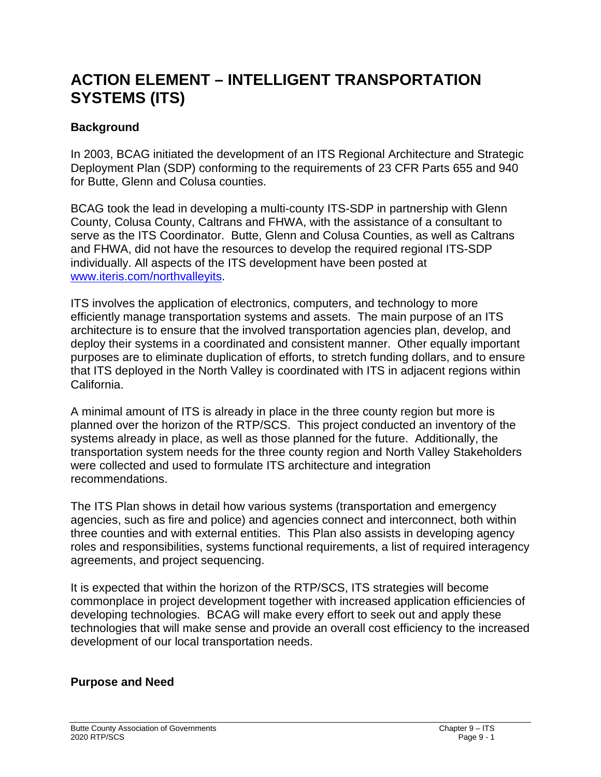# **ACTION ELEMENT – INTELLIGENT TRANSPORTATION SYSTEMS (ITS)**

# **Background**

In 2003, BCAG initiated the development of an ITS Regional Architecture and Strategic Deployment Plan (SDP) conforming to the requirements of 23 CFR Parts 655 and 940 for Butte, Glenn and Colusa counties.

BCAG took the lead in developing a multi-county ITS-SDP in partnership with Glenn County, Colusa County, Caltrans and FHWA, with the assistance of a consultant to serve as the ITS Coordinator. Butte, Glenn and Colusa Counties, as well as Caltrans and FHWA, did not have the resources to develop the required regional ITS-SDP individually. All aspects of the ITS development have been posted at [www.iteris.com/northvalleyits.](http://www.iteris.com/northvalleyits)

ITS involves the application of electronics, computers, and technology to more efficiently manage transportation systems and assets. The main purpose of an ITS architecture is to ensure that the involved transportation agencies plan, develop, and deploy their systems in a coordinated and consistent manner. Other equally important purposes are to eliminate duplication of efforts, to stretch funding dollars, and to ensure that ITS deployed in the North Valley is coordinated with ITS in adjacent regions within California.

A minimal amount of ITS is already in place in the three county region but more is planned over the horizon of the RTP/SCS. This project conducted an inventory of the systems already in place, as well as those planned for the future. Additionally, the transportation system needs for the three county region and North Valley Stakeholders were collected and used to formulate ITS architecture and integration recommendations.

The ITS Plan shows in detail how various systems (transportation and emergency agencies, such as fire and police) and agencies connect and interconnect, both within three counties and with external entities. This Plan also assists in developing agency roles and responsibilities, systems functional requirements, a list of required interagency agreements, and project sequencing.

It is expected that within the horizon of the RTP/SCS, ITS strategies will become commonplace in project development together with increased application efficiencies of developing technologies. BCAG will make every effort to seek out and apply these technologies that will make sense and provide an overall cost efficiency to the increased development of our local transportation needs.

## **Purpose and Need**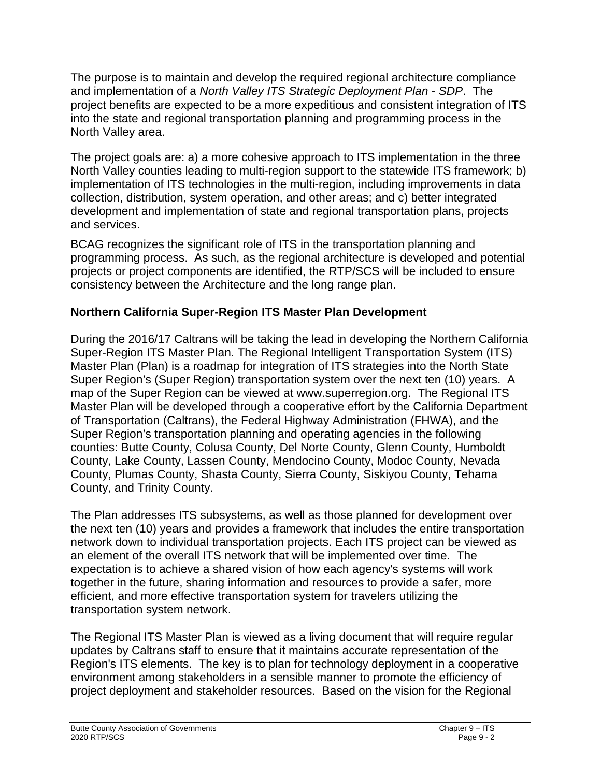The purpose is to maintain and develop the required regional architecture compliance and implementation of a *North Valley ITS Strategic Deployment Plan - SDP*. The project benefits are expected to be a more expeditious and consistent integration of ITS into the state and regional transportation planning and programming process in the North Valley area.

The project goals are: a) a more cohesive approach to ITS implementation in the three North Valley counties leading to multi-region support to the statewide ITS framework; b) implementation of ITS technologies in the multi-region, including improvements in data collection, distribution, system operation, and other areas; and c) better integrated development and implementation of state and regional transportation plans, projects and services.

BCAG recognizes the significant role of ITS in the transportation planning and programming process. As such, as the regional architecture is developed and potential projects or project components are identified, the RTP/SCS will be included to ensure consistency between the Architecture and the long range plan.

# **Northern California Super-Region ITS Master Plan Development**

During the 2016/17 Caltrans will be taking the lead in developing the Northern California Super-Region ITS Master Plan. The Regional Intelligent Transportation System (ITS) Master Plan (Plan) is a roadmap for integration of ITS strategies into the North State Super Region's (Super Region) transportation system over the next ten (10) years. A map of the Super Region can be viewed at www.superregion.org. The Regional ITS Master Plan will be developed through a cooperative effort by the California Department of Transportation (Caltrans), the Federal Highway Administration (FHWA), and the Super Region's transportation planning and operating agencies in the following counties: Butte County, Colusa County, Del Norte County, Glenn County, Humboldt County, Lake County, Lassen County, Mendocino County, Modoc County, Nevada County, Plumas County, Shasta County, Sierra County, Siskiyou County, Tehama County, and Trinity County.

The Plan addresses ITS subsystems, as well as those planned for development over the next ten (10) years and provides a framework that includes the entire transportation network down to individual transportation projects. Each ITS project can be viewed as an element of the overall ITS network that will be implemented over time. The expectation is to achieve a shared vision of how each agency's systems will work together in the future, sharing information and resources to provide a safer, more efficient, and more effective transportation system for travelers utilizing the transportation system network.

The Regional ITS Master Plan is viewed as a living document that will require regular updates by Caltrans staff to ensure that it maintains accurate representation of the Region's ITS elements. The key is to plan for technology deployment in a cooperative environment among stakeholders in a sensible manner to promote the efficiency of project deployment and stakeholder resources. Based on the vision for the Regional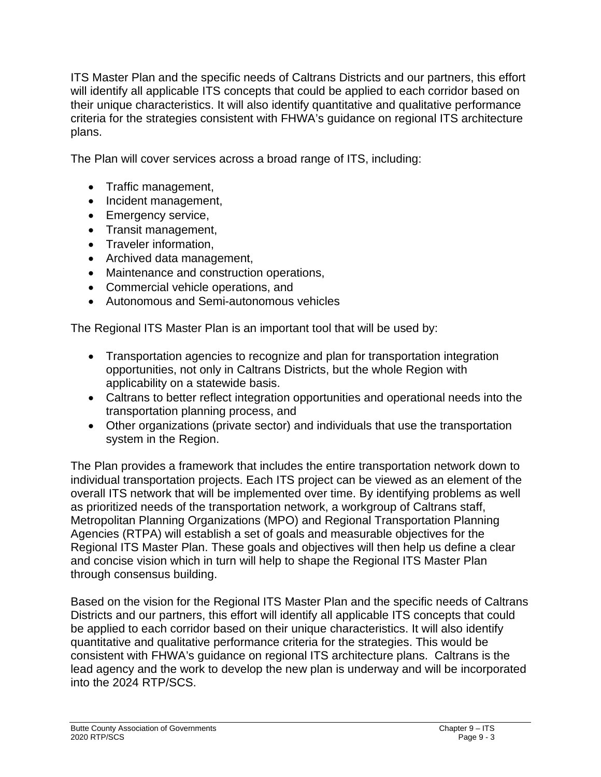ITS Master Plan and the specific needs of Caltrans Districts and our partners, this effort will identify all applicable ITS concepts that could be applied to each corridor based on their unique characteristics. It will also identify quantitative and qualitative performance criteria for the strategies consistent with FHWA's guidance on regional ITS architecture plans.

The Plan will cover services across a broad range of ITS, including:

- Traffic management,
- Incident management,
- Emergency service,
- Transit management,
- Traveler information,
- Archived data management,
- Maintenance and construction operations,
- Commercial vehicle operations, and
- Autonomous and Semi-autonomous vehicles

The Regional ITS Master Plan is an important tool that will be used by:

- Transportation agencies to recognize and plan for transportation integration opportunities, not only in Caltrans Districts, but the whole Region with applicability on a statewide basis.
- Caltrans to better reflect integration opportunities and operational needs into the transportation planning process, and
- Other organizations (private sector) and individuals that use the transportation system in the Region.

The Plan provides a framework that includes the entire transportation network down to individual transportation projects. Each ITS project can be viewed as an element of the overall ITS network that will be implemented over time. By identifying problems as well as prioritized needs of the transportation network, a workgroup of Caltrans staff, Metropolitan Planning Organizations (MPO) and Regional Transportation Planning Agencies (RTPA) will establish a set of goals and measurable objectives for the Regional ITS Master Plan. These goals and objectives will then help us define a clear and concise vision which in turn will help to shape the Regional ITS Master Plan through consensus building.

Based on the vision for the Regional ITS Master Plan and the specific needs of Caltrans Districts and our partners, this effort will identify all applicable ITS concepts that could be applied to each corridor based on their unique characteristics. It will also identify quantitative and qualitative performance criteria for the strategies. This would be consistent with FHWA's guidance on regional ITS architecture plans. Caltrans is the lead agency and the work to develop the new plan is underway and will be incorporated into the 2024 RTP/SCS.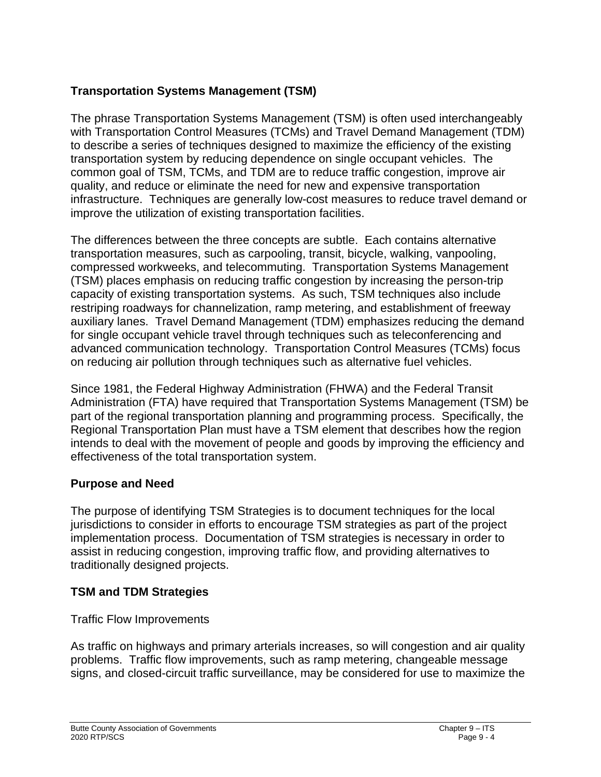# **Transportation Systems Management (TSM)**

The phrase Transportation Systems Management (TSM) is often used interchangeably with Transportation Control Measures (TCMs) and Travel Demand Management (TDM) to describe a series of techniques designed to maximize the efficiency of the existing transportation system by reducing dependence on single occupant vehicles. The common goal of TSM, TCMs, and TDM are to reduce traffic congestion, improve air quality, and reduce or eliminate the need for new and expensive transportation infrastructure. Techniques are generally low-cost measures to reduce travel demand or improve the utilization of existing transportation facilities.

The differences between the three concepts are subtle. Each contains alternative transportation measures, such as carpooling, transit, bicycle, walking, vanpooling, compressed workweeks, and telecommuting. Transportation Systems Management (TSM) places emphasis on reducing traffic congestion by increasing the person-trip capacity of existing transportation systems. As such, TSM techniques also include restriping roadways for channelization, ramp metering, and establishment of freeway auxiliary lanes. Travel Demand Management (TDM) emphasizes reducing the demand for single occupant vehicle travel through techniques such as teleconferencing and advanced communication technology. Transportation Control Measures (TCMs) focus on reducing air pollution through techniques such as alternative fuel vehicles.

Since 1981, the Federal Highway Administration (FHWA) and the Federal Transit Administration (FTA) have required that Transportation Systems Management (TSM) be part of the regional transportation planning and programming process. Specifically, the Regional Transportation Plan must have a TSM element that describes how the region intends to deal with the movement of people and goods by improving the efficiency and effectiveness of the total transportation system.

# **Purpose and Need**

The purpose of identifying TSM Strategies is to document techniques for the local jurisdictions to consider in efforts to encourage TSM strategies as part of the project implementation process. Documentation of TSM strategies is necessary in order to assist in reducing congestion, improving traffic flow, and providing alternatives to traditionally designed projects.

## **TSM and TDM Strategies**

## Traffic Flow Improvements

As traffic on highways and primary arterials increases, so will congestion and air quality problems. Traffic flow improvements, such as ramp metering, changeable message signs, and closed-circuit traffic surveillance, may be considered for use to maximize the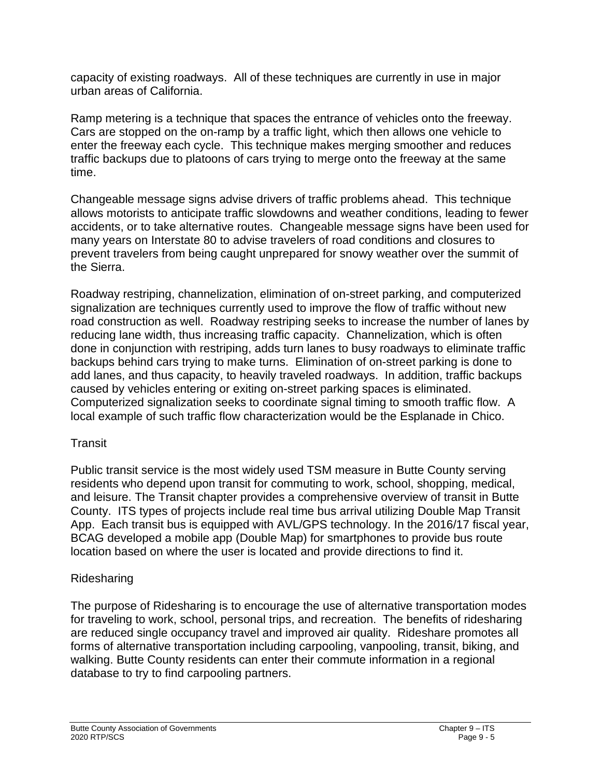capacity of existing roadways. All of these techniques are currently in use in major urban areas of California.

Ramp metering is a technique that spaces the entrance of vehicles onto the freeway. Cars are stopped on the on-ramp by a traffic light, which then allows one vehicle to enter the freeway each cycle. This technique makes merging smoother and reduces traffic backups due to platoons of cars trying to merge onto the freeway at the same time.

Changeable message signs advise drivers of traffic problems ahead. This technique allows motorists to anticipate traffic slowdowns and weather conditions, leading to fewer accidents, or to take alternative routes. Changeable message signs have been used for many years on Interstate 80 to advise travelers of road conditions and closures to prevent travelers from being caught unprepared for snowy weather over the summit of the Sierra.

Roadway restriping, channelization, elimination of on-street parking, and computerized signalization are techniques currently used to improve the flow of traffic without new road construction as well. Roadway restriping seeks to increase the number of lanes by reducing lane width, thus increasing traffic capacity. Channelization, which is often done in conjunction with restriping, adds turn lanes to busy roadways to eliminate traffic backups behind cars trying to make turns. Elimination of on-street parking is done to add lanes, and thus capacity, to heavily traveled roadways. In addition, traffic backups caused by vehicles entering or exiting on-street parking spaces is eliminated. Computerized signalization seeks to coordinate signal timing to smooth traffic flow. A local example of such traffic flow characterization would be the Esplanade in Chico.

## **Transit**

Public transit service is the most widely used TSM measure in Butte County serving residents who depend upon transit for commuting to work, school, shopping, medical, and leisure. The Transit chapter provides a comprehensive overview of transit in Butte County. ITS types of projects include real time bus arrival utilizing Double Map Transit App. Each transit bus is equipped with AVL/GPS technology. In the 2016/17 fiscal year, BCAG developed a mobile app (Double Map) for smartphones to provide bus route location based on where the user is located and provide directions to find it.

# Ridesharing

The purpose of Ridesharing is to encourage the use of alternative transportation modes for traveling to work, school, personal trips, and recreation. The benefits of ridesharing are reduced single occupancy travel and improved air quality. Rideshare promotes all forms of alternative transportation including carpooling, vanpooling, transit, biking, and walking. Butte County residents can enter their commute information in a regional database to try to find carpooling partners.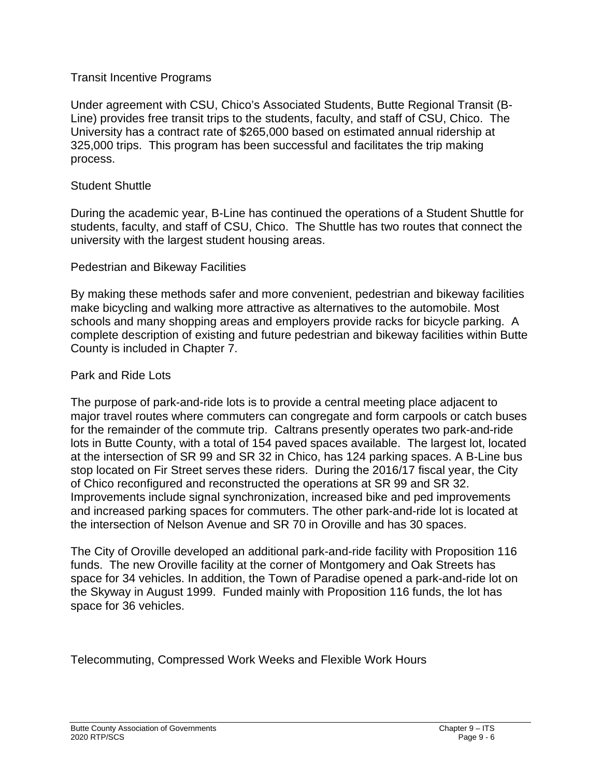#### Transit Incentive Programs

Under agreement with CSU, Chico's Associated Students, Butte Regional Transit (B-Line) provides free transit trips to the students, faculty, and staff of CSU, Chico. The University has a contract rate of \$265,000 based on estimated annual ridership at 325,000 trips. This program has been successful and facilitates the trip making process.

#### Student Shuttle

During the academic year, B-Line has continued the operations of a Student Shuttle for students, faculty, and staff of CSU, Chico. The Shuttle has two routes that connect the university with the largest student housing areas.

#### Pedestrian and Bikeway Facilities

By making these methods safer and more convenient, pedestrian and bikeway facilities make bicycling and walking more attractive as alternatives to the automobile. Most schools and many shopping areas and employers provide racks for bicycle parking. A complete description of existing and future pedestrian and bikeway facilities within Butte County is included in Chapter 7.

#### Park and Ride Lots

The purpose of park-and-ride lots is to provide a central meeting place adjacent to major travel routes where commuters can congregate and form carpools or catch buses for the remainder of the commute trip. Caltrans presently operates two park-and-ride lots in Butte County, with a total of 154 paved spaces available. The largest lot, located at the intersection of SR 99 and SR 32 in Chico, has 124 parking spaces. A B-Line bus stop located on Fir Street serves these riders. During the 2016/17 fiscal year, the City of Chico reconfigured and reconstructed the operations at SR 99 and SR 32. Improvements include signal synchronization, increased bike and ped improvements and increased parking spaces for commuters. The other park-and-ride lot is located at the intersection of Nelson Avenue and SR 70 in Oroville and has 30 spaces.

The City of Oroville developed an additional park-and-ride facility with Proposition 116 funds. The new Oroville facility at the corner of Montgomery and Oak Streets has space for 34 vehicles. In addition, the Town of Paradise opened a park-and-ride lot on the Skyway in August 1999. Funded mainly with Proposition 116 funds, the lot has space for 36 vehicles.

Telecommuting, Compressed Work Weeks and Flexible Work Hours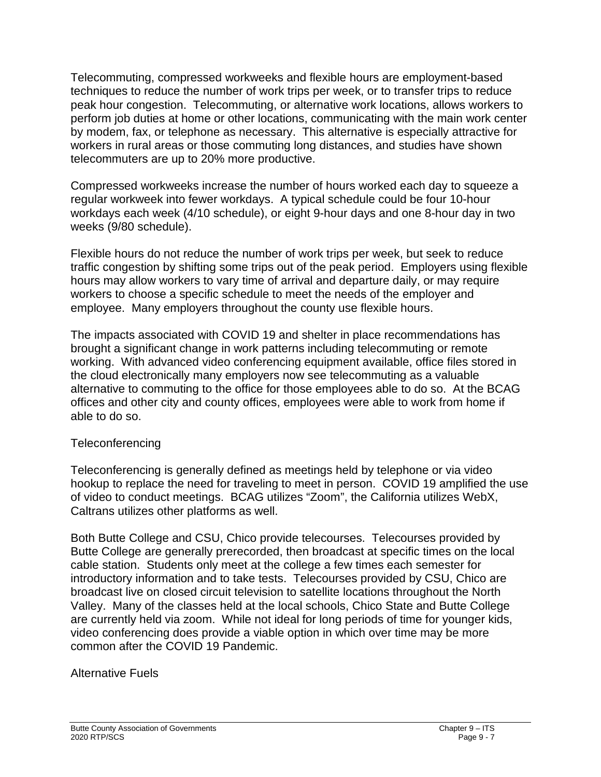Telecommuting, compressed workweeks and flexible hours are employment-based techniques to reduce the number of work trips per week, or to transfer trips to reduce peak hour congestion. Telecommuting, or alternative work locations, allows workers to perform job duties at home or other locations, communicating with the main work center by modem, fax, or telephone as necessary. This alternative is especially attractive for workers in rural areas or those commuting long distances, and studies have shown telecommuters are up to 20% more productive.

Compressed workweeks increase the number of hours worked each day to squeeze a regular workweek into fewer workdays. A typical schedule could be four 10-hour workdays each week (4/10 schedule), or eight 9-hour days and one 8-hour day in two weeks (9/80 schedule).

Flexible hours do not reduce the number of work trips per week, but seek to reduce traffic congestion by shifting some trips out of the peak period. Employers using flexible hours may allow workers to vary time of arrival and departure daily, or may require workers to choose a specific schedule to meet the needs of the employer and employee. Many employers throughout the county use flexible hours.

The impacts associated with COVID 19 and shelter in place recommendations has brought a significant change in work patterns including telecommuting or remote working. With advanced video conferencing equipment available, office files stored in the cloud electronically many employers now see telecommuting as a valuable alternative to commuting to the office for those employees able to do so. At the BCAG offices and other city and county offices, employees were able to work from home if able to do so.

## Teleconferencing

Teleconferencing is generally defined as meetings held by telephone or via video hookup to replace the need for traveling to meet in person. COVID 19 amplified the use of video to conduct meetings. BCAG utilizes "Zoom", the California utilizes WebX, Caltrans utilizes other platforms as well.

Both Butte College and CSU, Chico provide telecourses. Telecourses provided by Butte College are generally prerecorded, then broadcast at specific times on the local cable station. Students only meet at the college a few times each semester for introductory information and to take tests. Telecourses provided by CSU, Chico are broadcast live on closed circuit television to satellite locations throughout the North Valley. Many of the classes held at the local schools, Chico State and Butte College are currently held via zoom. While not ideal for long periods of time for younger kids, video conferencing does provide a viable option in which over time may be more common after the COVID 19 Pandemic.

## Alternative Fuels